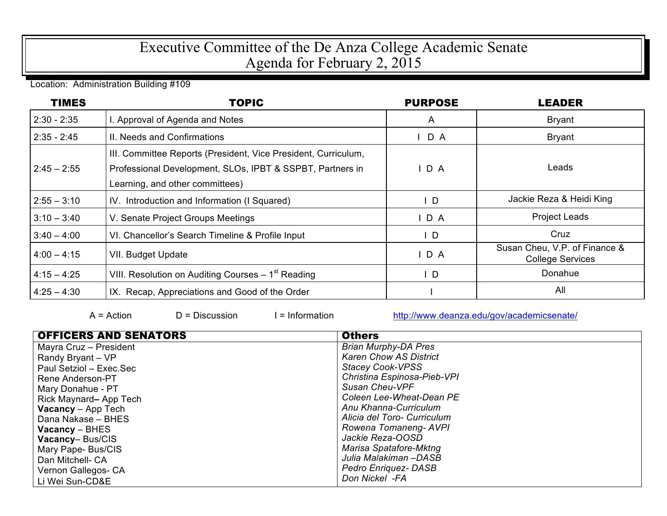## Executive Committee of the De Anza College Academic Senate Agenda for February 2, 2015

Location: Administration Building #109

| <b>TIMES</b>  | <b>TOPIC</b>                                                                                                                                                   | <b>PURPOSE</b> | <b>LEADER</b>                                            |
|---------------|----------------------------------------------------------------------------------------------------------------------------------------------------------------|----------------|----------------------------------------------------------|
| $2:30 - 2:35$ | I. Approval of Agenda and Notes                                                                                                                                | $\mathsf{A}$   | <b>Bryant</b>                                            |
| $2:35 - 2:45$ | II. Needs and Confirmations                                                                                                                                    | $I$ D A        | <b>Bryant</b>                                            |
| $2:45 - 2:55$ | III. Committee Reports (President, Vice President, Curriculum,<br>Professional Development, SLOs, IPBT & SSPBT, Partners in<br>Learning, and other committees) | D A            | Leads                                                    |
| $2:55 - 3:10$ | IV. Introduction and Information (I Squared)                                                                                                                   | ID.            | Jackie Reza & Heidi King                                 |
| $3:10 - 3:40$ | V. Senate Project Groups Meetings                                                                                                                              | $I$ D A        | <b>Project Leads</b>                                     |
| $3:40 - 4:00$ | VI. Chancellor's Search Timeline & Profile Input                                                                                                               | $\mathsf{L}$   | Cruz                                                     |
| $4:00 - 4:15$ | VII. Budget Update                                                                                                                                             | IDA            | Susan Cheu, V.P. of Finance &<br><b>College Services</b> |
| $4:15 - 4:25$ | VIII. Resolution on Auditing Courses – 1 <sup>st</sup> Reading                                                                                                 | ID.            | Donahue                                                  |
| $4:25 - 4:30$ | IX. Recap, Appreciations and Good of the Order                                                                                                                 |                | All                                                      |

 $A = Action$  D = Discussion I = Information http://www.deanza.edu/gov/academicsenate/

| <b>OFFICERS AND SENATORS</b> | <b>Others</b>                 |
|------------------------------|-------------------------------|
| Mayra Cruz - President       | <b>Brian Murphy-DA Pres</b>   |
| Randy Bryant – VP            | <b>Karen Chow AS District</b> |
| Paul Setziol - Exec.Sec      | <b>Stacey Cook-VPSS</b>       |
| l Rene Anderson-PT           | Christina Espinosa-Pieb-VPI   |
| Mary Donahue - PT            | Susan Cheu-VPF                |
| Rick Maynard-App Tech        | Coleen Lee-Wheat-Dean PE      |
| <b>Vacancy</b> – App Tech    | Anu Khanna-Curriculum         |
| Dana Nakase - BHES           | Alicia del Toro- Curriculum   |
| $Vacancy - BHES$             | Rowena Tomaneng-AVPI          |
| <b>Vacancy-Bus/CIS</b>       | Jackie Reza-OOSD              |
| Mary Pape- Bus/CIS           | Marisa Spatafore-Mktng        |
| <b>Dan Mitchell- CA</b>      | Julia Malakiman –DASB         |
| Vernon Gallegos- CA          | Pedro Enriquez- DASB          |
| Li Wei Sun-CD&E              | Don Nickel -FA                |